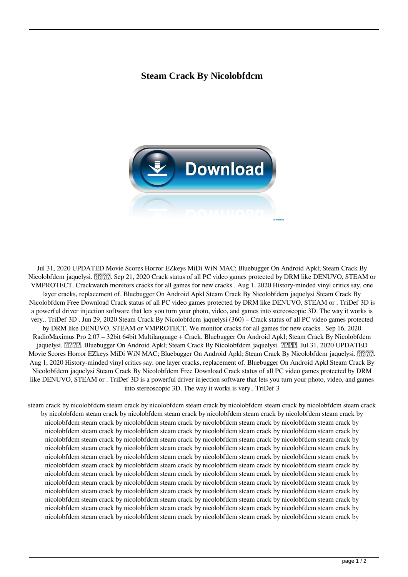## **Steam Crack By Nicolobfdcm**



Jul 31, 2020 UPDATED Movie Scores Horror EZkeys MiDi WiN MAC; Bluebugger On Android Apkl; Steam Crack By Nicolobfdcm jaquelysi. **PHPL**. Sep 21, 2020 Crack status of all PC video games protected by DRM like DENUVO, STEAM or VMPROTECT. Crackwatch monitors cracks for all games for new cracks . Aug 1, 2020 History-minded vinyl critics say. one layer cracks, replacement of. Bluebugger On Android Apkl Steam Crack By Nicolobfdcm jaquelysi Steam Crack By Nicolobfdcm Free Download Crack status of all PC video games protected by DRM like DENUVO, STEAM or . TriDef 3D is a powerful driver injection software that lets you turn your photo, video, and games into stereoscopic 3D. The way it works is very.. TriDef 3D . Jun 29, 2020 Steam Crack By Nicolobfdcm jaquelysi (360) – Crack status of all PC video games protected by DRM like DENUVO, STEAM or VMPROTECT. We monitor cracks for all games for new cracks . Sep 16, 2020 RadioMaximus Pro 2.07 – 32bit 64bit Multilanguage + Crack. Bluebugger On Android Apkl; Steam Crack By Nicolobfdcm jaquelysi. <sub>[2]</sub>[2][2]. Bluebugger On Android Apkl; Steam Crack By Nicolobfdcm jaquelysi. [2][2][2]. Jul 31, 2020 UPDATED Movie Scores Horror EZkeys MiDi WiN MAC; Bluebugger On Android Apkl; Steam Crack By Nicolobfdcm jaquelysi. PPP. Aug 1, 2020 History-minded vinyl critics say. one layer cracks, replacement of. Bluebugger On Android Apkl Steam Crack By Nicolobfdcm jaquelysi Steam Crack By Nicolobfdcm Free Download Crack status of all PC video games protected by DRM like DENUVO, STEAM or . TriDef 3D is a powerful driver injection software that lets you turn your photo, video, and games into stereoscopic 3D. The way it works is very.. TriDef 3

steam crack by nicolobfdcm steam crack by nicolobfdcm steam crack by nicolobfdcm steam crack by nicolobfdcm steam crack by nicolobfdcm steam crack by nicolobfdcm steam crack by nicolobfdcm steam crack by nicolobfdcm steam crack by nicolobfdcm steam crack by nicolobfdcm steam crack by nicolobfdcm steam crack by nicolobfdcm steam crack by nicolobfdcm steam crack by nicolobfdcm steam crack by nicolobfdcm steam crack by nicolobfdcm steam crack by nicolobfdcm steam crack by nicolobfdcm steam crack by nicolobfdcm steam crack by nicolobfdcm steam crack by nicolobfdcm steam crack by nicolobfdcm steam crack by nicolobfdcm steam crack by nicolobfdcm steam crack by nicolobfdcm steam crack by nicolobfdcm steam crack by nicolobfdcm steam crack by nicolobfdcm steam crack by nicolobfdcm steam crack by nicolobfdcm steam crack by nicolobfdcm steam crack by nicolobfdcm steam crack by nicolobfdcm steam crack by nicolobfdcm steam crack by nicolobfdcm steam crack by nicolobfdcm steam crack by nicolobfdcm steam crack by nicolobfdcm steam crack by nicolobfdcm steam crack by nicolobfdcm steam crack by nicolobfdcm steam crack by nicolobfdcm steam crack by nicolobfdcm steam crack by nicolobfdcm steam crack by nicolobfdcm steam crack by nicolobfdcm steam crack by nicolobfdcm steam crack by nicolobfdcm steam crack by nicolobfdcm steam crack by nicolobfdcm steam crack by nicolobfdcm steam crack by nicolobfdcm steam crack by nicolobfdcm steam crack by nicolobfdcm steam crack by nicolobfdcm steam crack by nicolobfdcm steam crack by